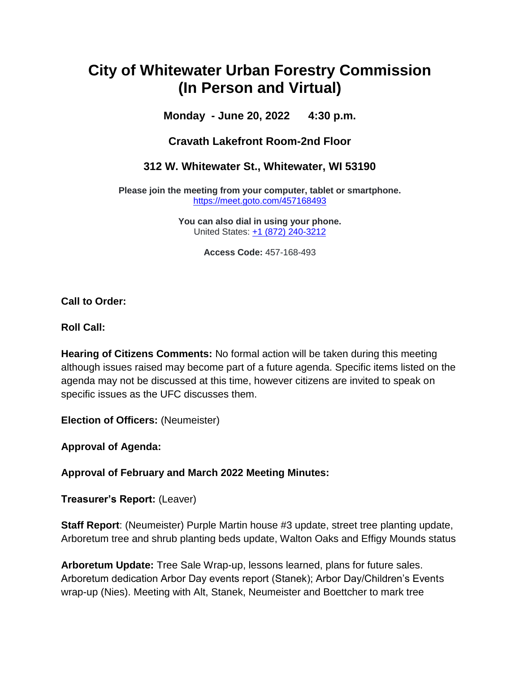## **City of Whitewater Urban Forestry Commission (In Person and Virtual)**

**Monday - June 20, 2022 4:30 p.m.**

**Cravath Lakefront Room-2nd Floor**

**312 W. Whitewater St., Whitewater, WI 53190**

**Please join the meeting from your computer, tablet or smartphone.** <https://meet.goto.com/457168493>

> **You can also dial in using your phone.** United States: [+1 \(872\) 240-3212](tel:+18722403212,,457168493)

> > **Access Code:** 457-168-493

**Call to Order:**

**Roll Call:**

**Hearing of Citizens Comments:** No formal action will be taken during this meeting although issues raised may become part of a future agenda. Specific items listed on the agenda may not be discussed at this time, however citizens are invited to speak on specific issues as the UFC discusses them.

**Election of Officers:** (Neumeister)

**Approval of Agenda:**

**Approval of February and March 2022 Meeting Minutes:**

**Treasurer's Report:** (Leaver)

**Staff Report**: (Neumeister) Purple Martin house #3 update, street tree planting update, Arboretum tree and shrub planting beds update, Walton Oaks and Effigy Mounds status

**Arboretum Update:** Tree Sale Wrap-up, lessons learned, plans for future sales. Arboretum dedication Arbor Day events report (Stanek); Arbor Day/Children's Events wrap-up (Nies). Meeting with Alt, Stanek, Neumeister and Boettcher to mark tree